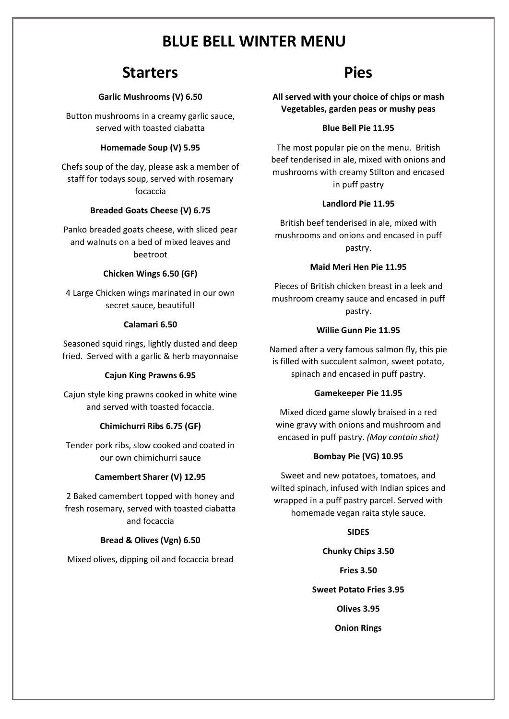# **Starters**

### **Garlic Mushrooms (V) 6.50**

Button mushrooms in a creamy garlic sauce, served with toasted ciabatta

## **Homemade Soup (V) 5.95**

Chefs soup of the day, please ask a member of staff for todays soup, served with rosemary focaccia

#### **Breaded Goats Cheese (V) 6.75**

Panko breaded goats cheese, with sliced pear and walnuts on a bed of mixed leaves and beetroot

#### **Chicken Wings 6.50 (GF)**

4 Large Chicken wings marinated in our own secret sauce, beautiful!

#### **Calamari 6.50**

Seasoned squid rings, lightly dusted and deep fried. Served with a garlic & herb mayonnaise

#### **Cajun King Prawns 6.95**

Cajun style king prawns cooked in white wine and served with toasted focaccia.

### **Chimichurri Ribs 6.75 (GF)**

Tender pork ribs, slow cooked and coated in our own chimichurri sauce

### **Camembert Sharer (V) 12.95**

2 Baked camembert topped with honey and fresh rosemary, served with toasted ciabatta and focaccia

## **Bread & Olives (Vgn) 6.50**

Mixed olives, dipping oil and focaccia bread

# **Pies**

**All served with your choice of chips or mash Vegetables, garden peas or mushy peas**

### **Blue Bell Pie 11.95**

The most popular pie on the menu. British beef tenderised in ale, mixed with onions and mushrooms with creamy Stilton and encased in puff pastry

#### **Landlord Pie 11.95**

British beef tenderised in ale, mixed with mushrooms and onions and encased in puff pastry.

### **Maid Meri Hen Pie 11.95**

Pieces of British chicken breast in a leek and mushroom creamy sauce and encased in puff pastry.

#### **Willie Gunn Pie 11.95**

Named after a very famous salmon fly, this pie is filled with succulent salmon, sweet potato, spinach and encased in puff pastry.

#### **Gamekeeper Pie 11.95**

Mixed diced game slowly braised in a red wine gravy with onions and mushroom and encased in puff pastry. *(May contain shot)*

### **Bombay Pie (VG) 10.95**

Sweet and new potatoes, tomatoes, and wilted spinach, infused with Indian spices and wrapped in a puff pastry parcel. Served with homemade vegan raita style sauce.

### **SIDES**

**Chunky Chips 3.50 Fries 3.50**

**Sweet Potato Fries 3.95**

**Olives 3.95**

**Onion Rings**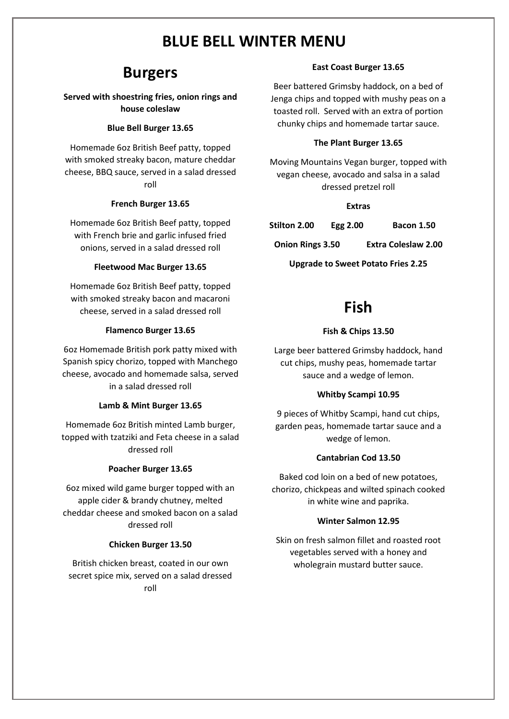# **Burgers**

# **Served with shoestring fries, onion rings and house coleslaw**

## **Blue Bell Burger 13.65**

Homemade 6oz British Beef patty, topped with smoked streaky bacon, mature cheddar cheese, BBQ sauce, served in a salad dressed roll

# **French Burger 13.65**

Homemade 6oz British Beef patty, topped with French brie and garlic infused fried onions, served in a salad dressed roll

# **Fleetwood Mac Burger 13.65**

Homemade 6oz British Beef patty, topped with smoked streaky bacon and macaroni cheese, served in a salad dressed roll

## **Flamenco Burger 13.65**

6oz Homemade British pork patty mixed with Spanish spicy chorizo, topped with Manchego cheese, avocado and homemade salsa, served in a salad dressed roll

### **Lamb & Mint Burger 13.65**

Homemade 6oz British minted Lamb burger, topped with tzatziki and Feta cheese in a salad dressed roll

# **Poacher Burger 13.65**

6oz mixed wild game burger topped with an apple cider & brandy chutney, melted cheddar cheese and smoked bacon on a salad dressed roll

### **Chicken Burger 13.50**

British chicken breast, coated in our own secret spice mix, served on a salad dressed roll

## **East Coast Burger 13.65**

Beer battered Grimsby haddock, on a bed of Jenga chips and topped with mushy peas on a toasted roll. Served with an extra of portion chunky chips and homemade tartar sauce.

## **The Plant Burger 13.65**

Moving Mountains Vegan burger, topped with vegan cheese, avocado and salsa in a salad dressed pretzel roll

### **Extras**

| Stilton 2.00            | Egg $2.00$ | <b>Bacon 1.50</b>   |
|-------------------------|------------|---------------------|
| <b>Onion Rings 3.50</b> |            | Extra Coleslaw 2.00 |

**Upgrade to Sweet Potato Fries 2.25**

# **Fish**

# **Fish & Chips 13.50**

Large beer battered Grimsby haddock, hand cut chips, mushy peas, homemade tartar sauce and a wedge of lemon.

# **Whitby Scampi 10.95**

9 pieces of Whitby Scampi, hand cut chips, garden peas, homemade tartar sauce and a wedge of lemon.

# **Cantabrian Cod 13.50**

Baked cod loin on a bed of new potatoes, chorizo, chickpeas and wilted spinach cooked in white wine and paprika.

# **Winter Salmon 12.95**

Skin on fresh salmon fillet and roasted root vegetables served with a honey and wholegrain mustard butter sauce.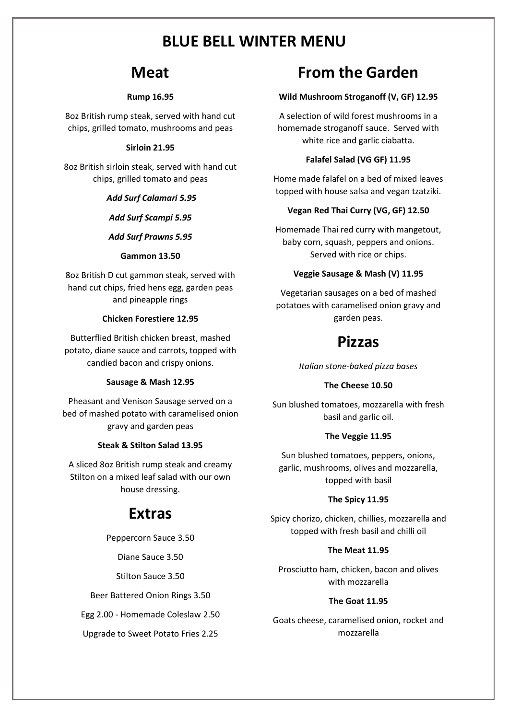# **Meat**

### **Rump 16.95**

8oz British rump steak, served with hand cut chips, grilled tomato, mushrooms and peas

# **Sirloin 21.95**

8oz British sirloin steak, served with hand cut chips, grilled tomato and peas

## *Add Surf Calamari 5.95*

*Add Surf Scampi 5.95*

## *Add Surf Prawns 5.95*

### **Gammon 13.50**

8oz British D cut gammon steak, served with hand cut chips, fried hens egg, garden peas and pineapple rings

## **Chicken Forestiere 12.95**

Butterflied British chicken breast, mashed potato, diane sauce and carrots, topped with candied bacon and crispy onions.

# **Sausage & Mash 12.95**

Pheasant and Venison Sausage served on a bed of mashed potato with caramelised onion gravy and garden peas

# **Steak & Stilton Salad 13.95**

A sliced 8oz British rump steak and creamy Stilton on a mixed leaf salad with our own house dressing.

# **Extras**

Peppercorn Sauce 3.50

Diane Sauce 3.50

Stilton Sauce 3.50

Beer Battered Onion Rings 3.50

Egg 2.00 - Homemade Coleslaw 2.50

Upgrade to Sweet Potato Fries 2.25

# **From the Garden**

# **Wild Mushroom Stroganoff (V, GF) 12.95**

A selection of wild forest mushrooms in a homemade stroganoff sauce. Served with white rice and garlic ciabatta.

# **Falafel Salad (VG GF) 11.95**

Home made falafel on a bed of mixed leaves topped with house salsa and vegan tzatziki.

# **Vegan Red Thai Curry (VG, GF) 12.50**

Homemade Thai red curry with mangetout, baby corn, squash, peppers and onions. Served with rice or chips.

# **Veggie Sausage & Mash (V) 11.95**

Vegetarian sausages on a bed of mashed potatoes with caramelised onion gravy and garden peas.

# **Pizzas**

*Italian stone-baked pizza bases*

# **The Cheese 10.50**

Sun blushed tomatoes, mozzarella with fresh basil and garlic oil.

# **The Veggie 11.95**

Sun blushed tomatoes, peppers, onions, garlic, mushrooms, olives and mozzarella, topped with basil

# **The Spicy 11.95**

Spicy chorizo, chicken, chillies, mozzarella and topped with fresh basil and chilli oil

# **The Meat 11.95**

Prosciutto ham, chicken, bacon and olives with mozzarella

# **The Goat 11.95**

Goats cheese, caramelised onion, rocket and mozzarella